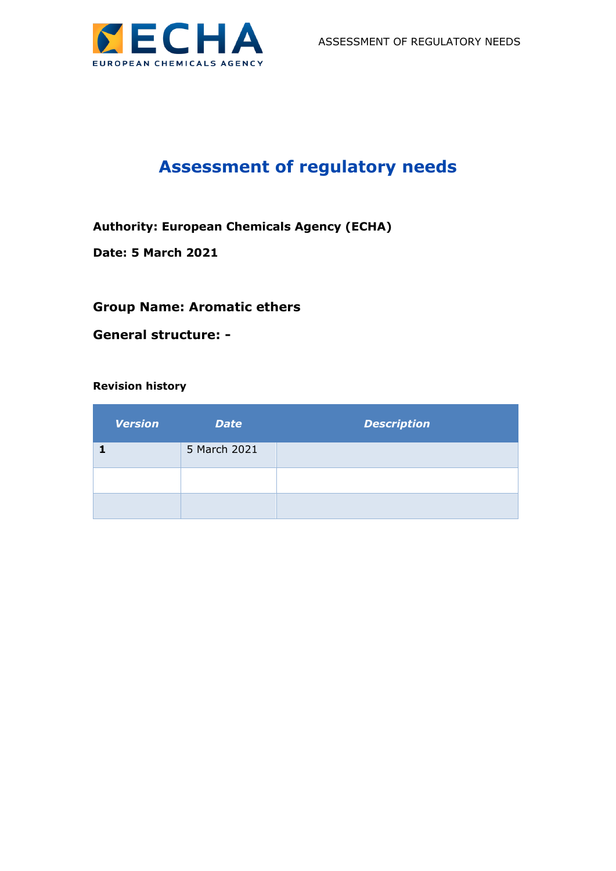

## **Assessment of regulatory needs**

**Authority: European Chemicals Agency (ECHA)**

**Date: 5 March 2021**

#### **Group Name: Aromatic ethers**

**General structure: -**

#### **Revision history**

| <b>Version</b> | <b>Date</b>  | <b>Description</b> |
|----------------|--------------|--------------------|
|                | 5 March 2021 |                    |
|                |              |                    |
|                |              |                    |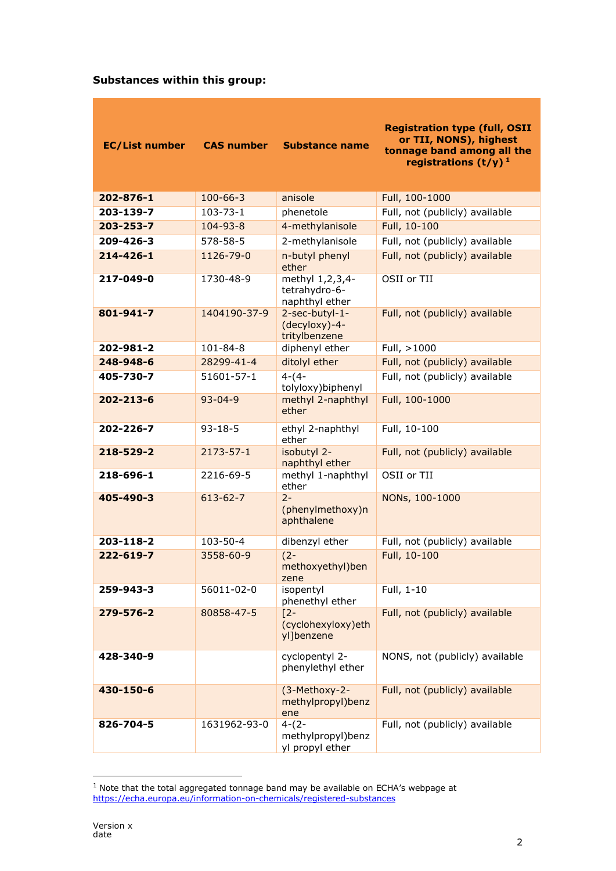#### **Substances within this group:**

| <b>EC/List number</b> | <b>CAS number</b> | <b>Substance name</b>                              | <b>Registration type (full, OSII</b><br>or TII, NONS), highest<br>tonnage band among all the<br>registrations $(t/y)^1$ |
|-----------------------|-------------------|----------------------------------------------------|-------------------------------------------------------------------------------------------------------------------------|
| 202-876-1             | $100 - 66 - 3$    | anisole                                            | Full, 100-1000                                                                                                          |
| 203-139-7             | $103 - 73 - 1$    | phenetole                                          | Full, not (publicly) available                                                                                          |
| 203-253-7             | 104-93-8          | 4-methylanisole                                    | Full, 10-100                                                                                                            |
| 209-426-3             | 578-58-5          | 2-methylanisole                                    | Full, not (publicly) available                                                                                          |
| 214-426-1             | 1126-79-0         | n-butyl phenyl<br>ether                            | Full, not (publicly) available                                                                                          |
| 217-049-0             | 1730-48-9         | methyl 1,2,3,4-<br>tetrahydro-6-<br>naphthyl ether | OSII or TII                                                                                                             |
| 801-941-7             | 1404190-37-9      | 2-sec-butyl-1-<br>(decyloxy)-4-<br>tritylbenzene   | Full, not (publicly) available                                                                                          |
| 202-981-2             | $101 - 84 - 8$    | diphenyl ether                                     | Full, >1000                                                                                                             |
| 248-948-6             | 28299-41-4        | ditolyl ether                                      | Full, not (publicly) available                                                                                          |
| 405-730-7             | 51601-57-1        | $4-(4-$<br>tolyloxy)biphenyl                       | Full, not (publicly) available                                                                                          |
| 202-213-6             | $93 - 04 - 9$     | methyl 2-naphthyl<br>ether                         | Full, 100-1000                                                                                                          |
| 202-226-7             | $93 - 18 - 5$     | ethyl 2-naphthyl<br>ether                          | Full, 10-100                                                                                                            |
| 218-529-2             | $2173 - 57 - 1$   | isobutyl 2-<br>naphthyl ether                      | Full, not (publicly) available                                                                                          |
| 218-696-1             | 2216-69-5         | methyl 1-naphthyl<br>ether                         | OSII or TII                                                                                                             |
| 405-490-3             | $613 - 62 - 7$    | $2 -$<br>(phenylmethoxy)n<br>aphthalene            | NONs, 100-1000                                                                                                          |
| 203-118-2             | 103-50-4          | dibenzyl ether                                     | Full, not (publicly) available                                                                                          |
| 222-619-7             | 3558-60-9         | $(2 -$<br>methoxyethyl)ben<br>zene                 | Full, 10-100                                                                                                            |
| 259-943-3             | 56011-02-0        | isopentyl<br>phenethyl ether                       | Full, 1-10                                                                                                              |
| 279-576-2             | 80858-47-5        | $\sqrt{2}$<br>(cyclohexyloxy)eth<br>yl]benzene     | Full, not (publicly) available                                                                                          |
| 428-340-9             |                   | cyclopentyl 2-<br>phenylethyl ether                | NONS, not (publicly) available                                                                                          |
| 430-150-6             |                   | (3-Methoxy-2-<br>methylpropyl)benz<br>ene          | Full, not (publicly) available                                                                                          |
| 826-704-5             | 1631962-93-0      | $4-(2-$<br>methylpropyl)benz<br>yl propyl ether    | Full, not (publicly) available                                                                                          |

 $<sup>1</sup>$  Note that the total aggregated tonnage band may be available on ECHA's webpage at</sup> <https://echa.europa.eu/information-on-chemicals/registered-substances>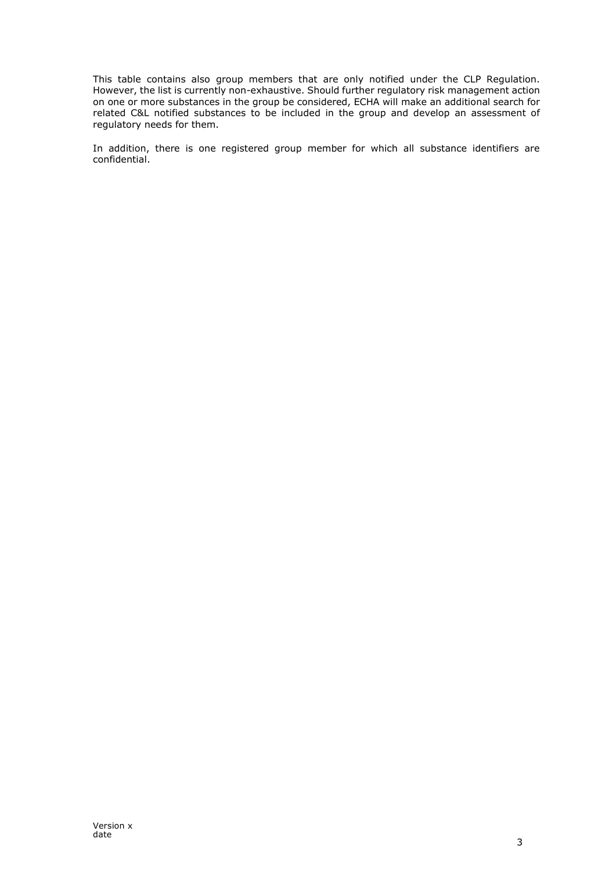This table contains also group members that are only notified under the CLP Regulation. However, the list is currently non-exhaustive. Should further regulatory risk management action on one or more substances in the group be considered, ECHA will make an additional search for related C&L notified substances to be included in the group and develop an assessment of regulatory needs for them.

In addition, there is one registered group member for which all substance identifiers are confidential.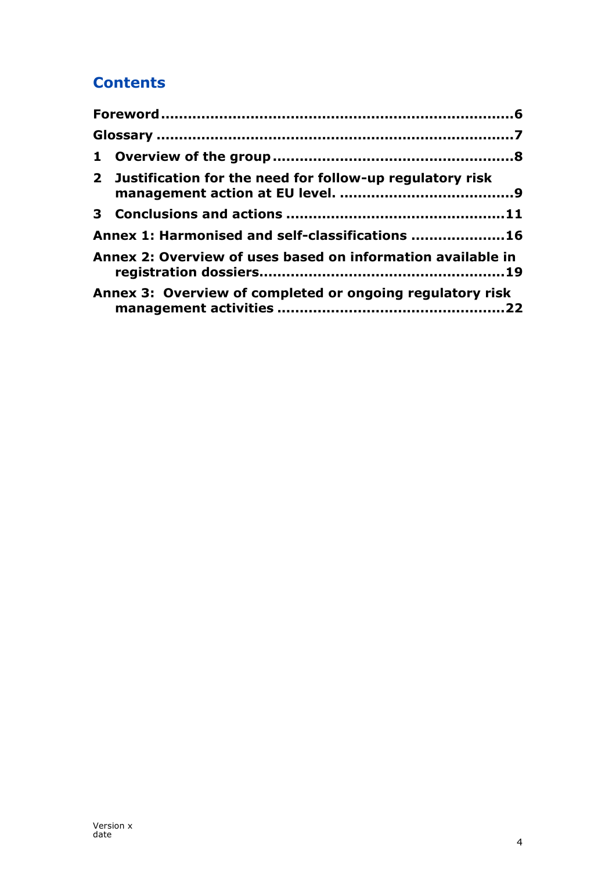## **Contents**

| 2 Justification for the need for follow-up regulatory risk  |
|-------------------------------------------------------------|
|                                                             |
| Annex 1: Harmonised and self-classifications 16             |
| Annex 2: Overview of uses based on information available in |
| Annex 3: Overview of completed or ongoing regulatory risk   |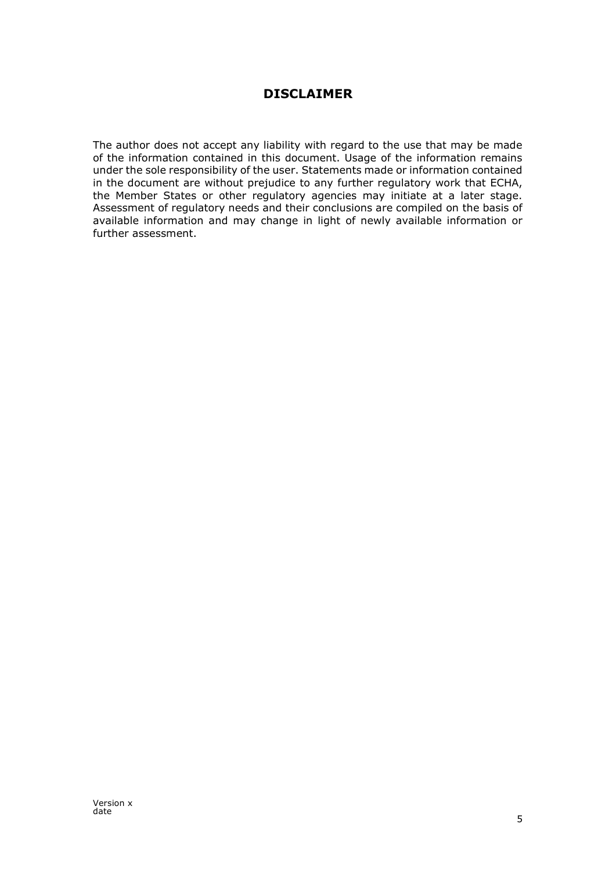#### **DISCLAIMER**

The author does not accept any liability with regard to the use that may be made of the information contained in this document. Usage of the information remains under the sole responsibility of the user. Statements made or information contained in the document are without prejudice to any further regulatory work that ECHA, the Member States or other regulatory agencies may initiate at a later stage. Assessment of regulatory needs and their conclusions are compiled on the basis of available information and may change in light of newly available information or further assessment.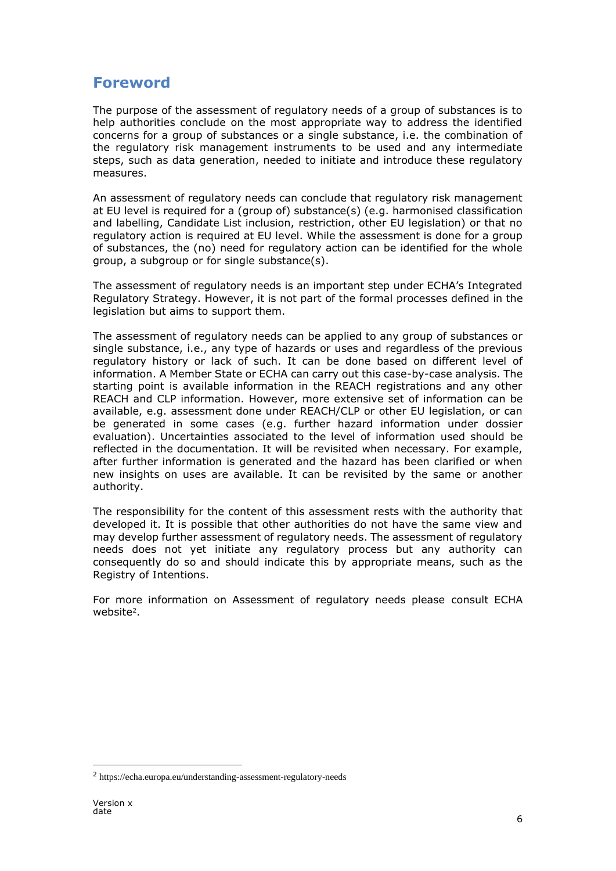### <span id="page-5-0"></span>**Foreword**

The purpose of the assessment of regulatory needs of a group of substances is to help authorities conclude on the most appropriate way to address the identified concerns for a group of substances or a single substance, i.e. the combination of the regulatory risk management instruments to be used and any intermediate steps, such as data generation, needed to initiate and introduce these regulatory measures.

An assessment of regulatory needs can conclude that regulatory risk management at EU level is required for a (group of) substance(s) (e.g. harmonised classification and labelling, Candidate List inclusion, restriction, other EU legislation) or that no regulatory action is required at EU level. While the assessment is done for a group of substances, the (no) need for regulatory action can be identified for the whole group, a subgroup or for single substance(s).

The assessment of regulatory needs is an important step under ECHA's Integrated Regulatory Strategy. However, it is not part of the formal processes defined in the legislation but aims to support them.

The assessment of regulatory needs can be applied to any group of substances or single substance, i.e., any type of hazards or uses and regardless of the previous regulatory history or lack of such. It can be done based on different level of information. A Member State or ECHA can carry out this case-by-case analysis. The starting point is available information in the REACH registrations and any other REACH and CLP information. However, more extensive set of information can be available, e.g. assessment done under REACH/CLP or other EU legislation, or can be generated in some cases (e.g. further hazard information under dossier evaluation). Uncertainties associated to the level of information used should be reflected in the documentation. It will be revisited when necessary. For example, after further information is generated and the hazard has been clarified or when new insights on uses are available. It can be revisited by the same or another authority.

The responsibility for the content of this assessment rests with the authority that developed it. It is possible that other authorities do not have the same view and may develop further assessment of regulatory needs. The assessment of regulatory needs does not yet initiate any regulatory process but any authority can consequently do so and should indicate this by appropriate means, such as the Registry of Intentions.

For more information on Assessment of regulatory needs please consult ECHA website<sup>2</sup>.

<sup>2</sup> https://echa.europa.eu/understanding-assessment-regulatory-needs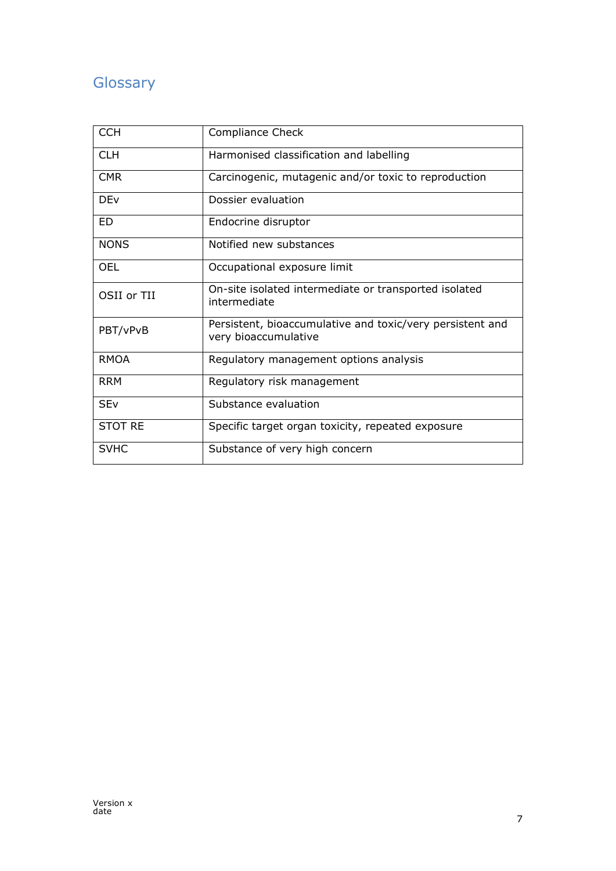## <span id="page-6-0"></span>**Glossary**

| <b>CCH</b>            | <b>Compliance Check</b>                                                           |
|-----------------------|-----------------------------------------------------------------------------------|
| <b>CLH</b>            | Harmonised classification and labelling                                           |
| <b>CMR</b>            | Carcinogenic, mutagenic and/or toxic to reproduction                              |
| <b>DEv</b>            | Dossier evaluation                                                                |
| <b>ED</b>             | Endocrine disruptor                                                               |
| <b>NONS</b>           | Notified new substances                                                           |
| <b>OEL</b>            | Occupational exposure limit                                                       |
| OSII or TII           | On-site isolated intermediate or transported isolated<br>intermediate             |
| PBT/vPvB              | Persistent, bioaccumulative and toxic/very persistent and<br>very bioaccumulative |
| <b>RMOA</b>           | Regulatory management options analysis                                            |
| <b>RRM</b>            | Regulatory risk management                                                        |
| <b>SE<sub>V</sub></b> | Substance evaluation                                                              |
| <b>STOT RE</b>        | Specific target organ toxicity, repeated exposure                                 |
| <b>SVHC</b>           | Substance of very high concern                                                    |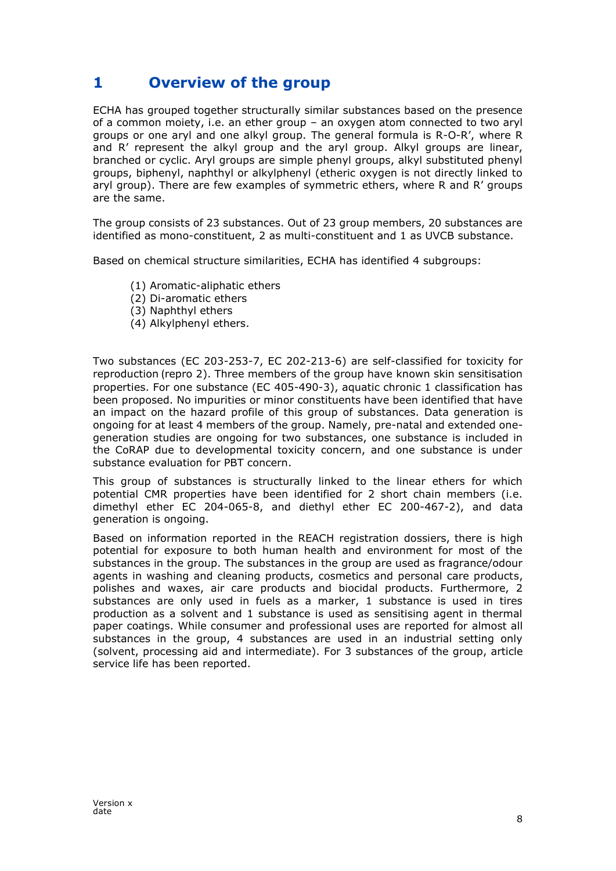## <span id="page-7-0"></span>**1 Overview of the group**

ECHA has grouped together structurally similar substances based on the presence of a common moiety, i.e. an ether group – an oxygen atom connected to two aryl groups or one aryl and one alkyl group. The general formula is R-O-R', where R and R' represent the alkyl group and the aryl group. Alkyl groups are linear, branched or cyclic. Aryl groups are simple phenyl groups, alkyl substituted phenyl groups, biphenyl, naphthyl or alkylphenyl (etheric oxygen is not directly linked to aryl group). There are few examples of symmetric ethers, where R and R' groups are the same.

The group consists of 23 substances. Out of 23 group members, 20 substances are identified as mono-constituent, 2 as multi-constituent and 1 as UVCB substance.

Based on chemical structure similarities, ECHA has identified 4 subgroups:

- (1) Aromatic-aliphatic ethers
- (2) Di-aromatic ethers
- (3) Naphthyl ethers
- (4) Alkylphenyl ethers.

Two substances (EC 203-253-7, EC 202-213-6) are self-classified for toxicity for reproduction (repro 2). Three members of the group have known skin sensitisation properties. For one substance (EC 405-490-3), aquatic chronic 1 classification has been proposed. No impurities or minor constituents have been identified that have an impact on the hazard profile of this group of substances. Data generation is ongoing for at least 4 members of the group. Namely, pre-natal and extended onegeneration studies are ongoing for two substances, one substance is included in the CoRAP due to developmental toxicity concern, and one substance is under substance evaluation for PBT concern.

This group of substances is structurally linked to the linear ethers for which potential CMR properties have been identified for 2 short chain members (i.e. dimethyl ether EC 204-065-8, and diethyl ether EC 200-467-2), and data generation is ongoing.

Based on information reported in the REACH registration dossiers, there is high potential for exposure to both human health and environment for most of the substances in the group. The substances in the group are used as fragrance/odour agents in washing and cleaning products, cosmetics and personal care products, polishes and waxes, air care products and biocidal products. Furthermore, 2 substances are only used in fuels as a marker, 1 substance is used in tires production as a solvent and 1 substance is used as sensitising agent in thermal paper coatings. While consumer and professional uses are reported for almost all substances in the group, 4 substances are used in an industrial setting only (solvent, processing aid and intermediate). For 3 substances of the group, article service life has been reported.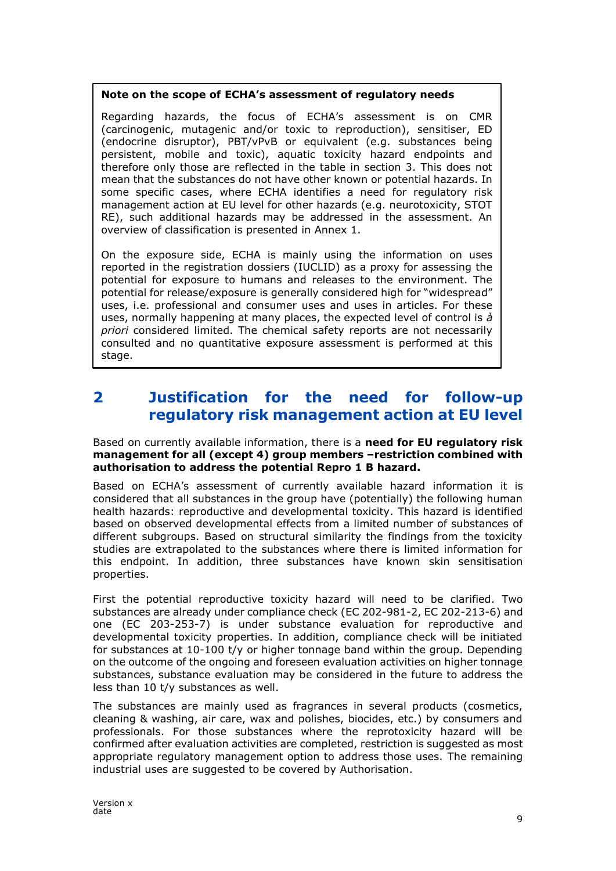#### **Note on the scope of ECHA's assessment of regulatory needs**

Regarding hazards, the focus of ECHA's assessment is on CMR (carcinogenic, mutagenic and/or toxic to reproduction), sensitiser, ED (endocrine disruptor), PBT/vPvB or equivalent (e.g. substances being persistent, mobile and toxic), aquatic toxicity hazard endpoints and therefore only those are reflected in the table in section 3. This does not mean that the substances do not have other known or potential hazards. In some specific cases, where ECHA identifies a need for regulatory risk management action at EU level for other hazards (e.g. neurotoxicity, STOT RE), such additional hazards may be addressed in the assessment. An overview of classification is presented in Annex 1.

On the exposure side, ECHA is mainly using the information on uses reported in the registration dossiers (IUCLID) as a proxy for assessing the potential for exposure to humans and releases to the environment. The potential for release/exposure is generally considered high for "widespread" uses, i.e. professional and consumer uses and uses in articles. For these uses, normally happening at many places, the expected level of control is *à priori* considered limited. The chemical safety reports are not necessarily consulted and no quantitative exposure assessment is performed at this stage.

## <span id="page-8-0"></span>**2 Justification for the need for follow-up regulatory risk management action at EU level**

Based on currently available information, there is a **need for EU regulatory risk management for all (except 4) group members –restriction combined with authorisation to address the potential Repro 1 B hazard.** 

Based on ECHA's assessment of currently available hazard information it is considered that all substances in the group have (potentially) the following human health hazards: reproductive and developmental toxicity. This hazard is identified based on observed developmental effects from a limited number of substances of different subgroups. Based on structural similarity the findings from the toxicity studies are extrapolated to the substances where there is limited information for this endpoint. In addition, three substances have known skin sensitisation properties.

First the potential reproductive toxicity hazard will need to be clarified. Two substances are already under compliance check (EC 202-981-2, EC 202-213-6) and one (EC 203-253-7) is under substance evaluation for reproductive and developmental toxicity properties. In addition, compliance check will be initiated for substances at 10-100 t/y or higher tonnage band within the group. Depending on the outcome of the ongoing and foreseen evaluation activities on higher tonnage substances, substance evaluation may be considered in the future to address the less than 10 t/y substances as well.

The substances are mainly used as fragrances in several products (cosmetics, cleaning & washing, air care, wax and polishes, biocides, etc.) by consumers and professionals. For those substances where the reprotoxicity hazard will be confirmed after evaluation activities are completed, restriction is suggested as most appropriate regulatory management option to address those uses. The remaining industrial uses are suggested to be covered by Authorisation.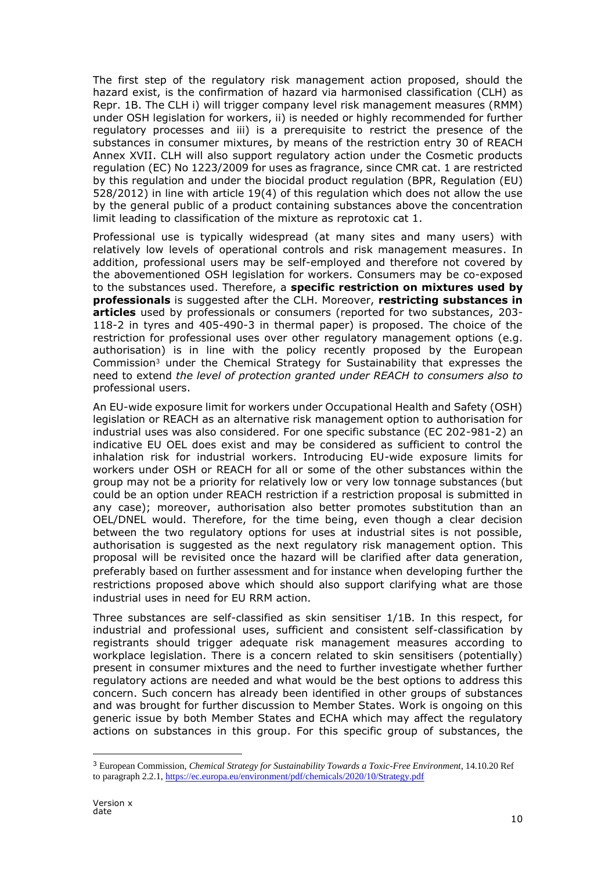<span id="page-9-0"></span>The first step of the regulatory risk management action proposed, should the hazard exist, is the confirmation of hazard via harmonised classification (CLH) as Repr. 1B. The CLH i) will trigger company level risk management measures (RMM) under OSH legislation for workers, ii) is needed or highly recommended for further regulatory processes and iii) is a prerequisite to restrict the presence of the substances in consumer mixtures, by means of the restriction entry 30 of REACH Annex XVII. CLH will also support regulatory action under the Cosmetic products regulation (EC) No 1223/2009 for uses as fragrance, since CMR cat. 1 are restricted by this regulation and under the biocidal product regulation (BPR, Regulation (EU) 528/2012) in line with article 19(4) of this regulation which does not allow the use by the general public of a product containing substances above the concentration limit leading to classification of the mixture as reprotoxic cat 1.

Professional use is typically widespread (at many sites and many users) with relatively low levels of operational controls and risk management measures. In addition, professional users may be self-employed and therefore not covered by the abovementioned OSH legislation for workers. Consumers may be co-exposed to the substances used. Therefore, a **specific restriction on mixtures used by professionals** is suggested after the CLH. Moreover, **restricting substances in articles** used by professionals or consumers (reported for two substances, 203- 118-2 in tyres and 405-490-3 in thermal paper) is proposed. The choice of the restriction for professional uses over other regulatory management options (e.g. authorisation) is in line with the policy recently proposed by the European Commission<sup>3</sup> under the Chemical Strategy for Sustainability that expresses the need to extend *the level of protection granted under REACH to consumers also to* professional users.

An EU-wide exposure limit for workers under Occupational Health and Safety (OSH) legislation or REACH as an alternative risk management option to authorisation for industrial uses was also considered. For one specific substance (EC 202-981-2) an indicative EU OEL does exist and may be considered as sufficient to control the inhalation risk for industrial workers. Introducing EU-wide exposure limits for workers under OSH or REACH for all or some of the other substances within the group may not be a priority for relatively low or very low tonnage substances (but could be an option under REACH restriction if a restriction proposal is submitted in any case); moreover, authorisation also better promotes substitution than an OEL/DNEL would. Therefore, for the time being, even though a clear decision between the two regulatory options for uses at industrial sites is not possible, authorisation is suggested as the next regulatory risk management option. This proposal will be revisited once the hazard will be clarified after data generation, preferably based on further assessment and for instance when developing further the restrictions proposed above which should also support clarifying what are those industrial uses in need for EU RRM action.

Three substances are self-classified as skin sensitiser 1/1B. In this respect, for industrial and professional uses, sufficient and consistent self-classification by registrants should trigger adequate risk management measures according to workplace legislation. There is a concern related to skin sensitisers (potentially) present in consumer mixtures and the need to further investigate whether further regulatory actions are needed and what would be the best options to address this concern. Such concern has already been identified in other groups of substances and was brought for further discussion to Member States. Work is ongoing on this generic issue by both Member States and ECHA which may affect the regulatory actions on substances in this group. For this specific group of substances, the

<sup>3</sup> European Commission, *Chemical Strategy for Sustainability Towards a Toxic-Free Environment*, 14.10.20 Ref to paragraph 2.2.1,<https://ec.europa.eu/environment/pdf/chemicals/2020/10/Strategy.pdf>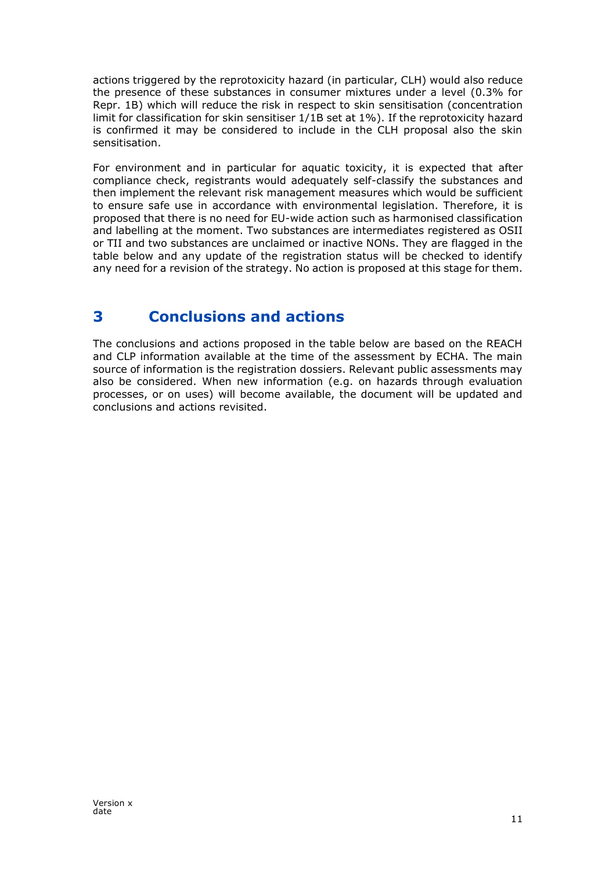actions triggered by the reprotoxicity hazard (in particular, CLH) would also reduce the presence of these substances in consumer mixtures under a level (0.3% for Repr. 1B) which will reduce the risk in respect to skin sensitisation (concentration limit for classification for skin sensitiser 1/1B set at 1%). If the reprotoxicity hazard is confirmed it may be considered to include in the CLH proposal also the skin sensitisation.

For environment and in particular for aquatic toxicity, it is expected that after compliance check, registrants would adequately self-classify the substances and then implement the relevant risk management measures which would be sufficient to ensure safe use in accordance with environmental legislation. Therefore, it is proposed that there is no need for EU-wide action such as harmonised classification and labelling at the moment. Two substances are intermediates registered as OSII or TII and two substances are unclaimed or inactive NONs. They are flagged in the table below and any update of the registration status will be checked to identify any need for a revision of the strategy. No action is proposed at this stage for them.

# <span id="page-10-0"></span>**3 Conclusions and actions**

The conclusions and actions proposed in the table below are based on the REACH and CLP information available at the time of the assessment by ECHA. The main source of information is the registration dossiers. Relevant public assessments may also be considered. When new information (e.g. on hazards through evaluation processes, or on uses) will become available, the document will be updated and conclusions and actions revisited.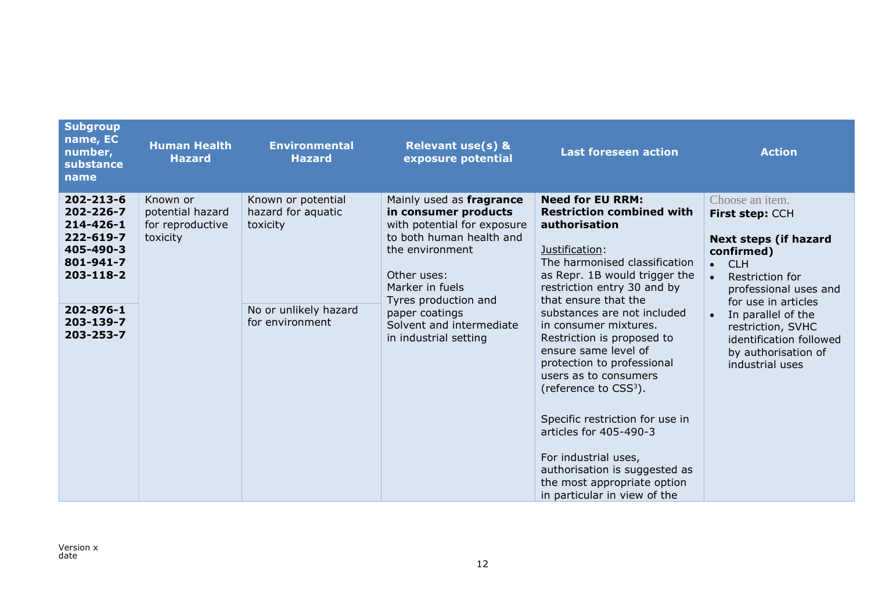| <b>Subgroup</b><br>name, EC<br>number,<br>substance<br>name                                                                    | <b>Human Health</b><br><b>Hazard</b>                         | <b>Environmental</b><br><b>Hazard</b>                                                            | <b>Relevant use(s) &amp;</b><br>exposure potential                                                                                                                                                                                                              | <b>Last foreseen action</b>                                                                                                                                                                                                                                                                                                                                                                                                                                                                                                                                                                                            | <b>Action</b>                                                                                                                                                                                                                                                                                                            |
|--------------------------------------------------------------------------------------------------------------------------------|--------------------------------------------------------------|--------------------------------------------------------------------------------------------------|-----------------------------------------------------------------------------------------------------------------------------------------------------------------------------------------------------------------------------------------------------------------|------------------------------------------------------------------------------------------------------------------------------------------------------------------------------------------------------------------------------------------------------------------------------------------------------------------------------------------------------------------------------------------------------------------------------------------------------------------------------------------------------------------------------------------------------------------------------------------------------------------------|--------------------------------------------------------------------------------------------------------------------------------------------------------------------------------------------------------------------------------------------------------------------------------------------------------------------------|
| 202-213-6<br>202-226-7<br>214-426-1<br>222-619-7<br>405-490-3<br>801-941-7<br>203-118-2<br>202-876-1<br>203-139-7<br>203-253-7 | Known or<br>potential hazard<br>for reproductive<br>toxicity | Known or potential<br>hazard for aquatic<br>toxicity<br>No or unlikely hazard<br>for environment | Mainly used as fragrance<br>in consumer products<br>with potential for exposure<br>to both human health and<br>the environment<br>Other uses:<br>Marker in fuels<br>Tyres production and<br>paper coatings<br>Solvent and intermediate<br>in industrial setting | <b>Need for EU RRM:</b><br><b>Restriction combined with</b><br>authorisation<br>Justification:<br>The harmonised classification<br>as Repr. 1B would trigger the<br>restriction entry 30 and by<br>that ensure that the<br>substances are not included<br>in consumer mixtures.<br>Restriction is proposed to<br>ensure same level of<br>protection to professional<br>users as to consumers<br>(reference to CSS <sup>3</sup> ).<br>Specific restriction for use in<br>articles for 405-490-3<br>For industrial uses,<br>authorisation is suggested as<br>the most appropriate option<br>in particular in view of the | Choose an item.<br>First step: CCH<br><b>Next steps (if hazard</b><br>confirmed)<br><b>CLH</b><br>$\bullet$<br>Restriction for<br>$\bullet$<br>professional uses and<br>for use in articles<br>In parallel of the<br>$\bullet$<br>restriction, SVHC<br>identification followed<br>by authorisation of<br>industrial uses |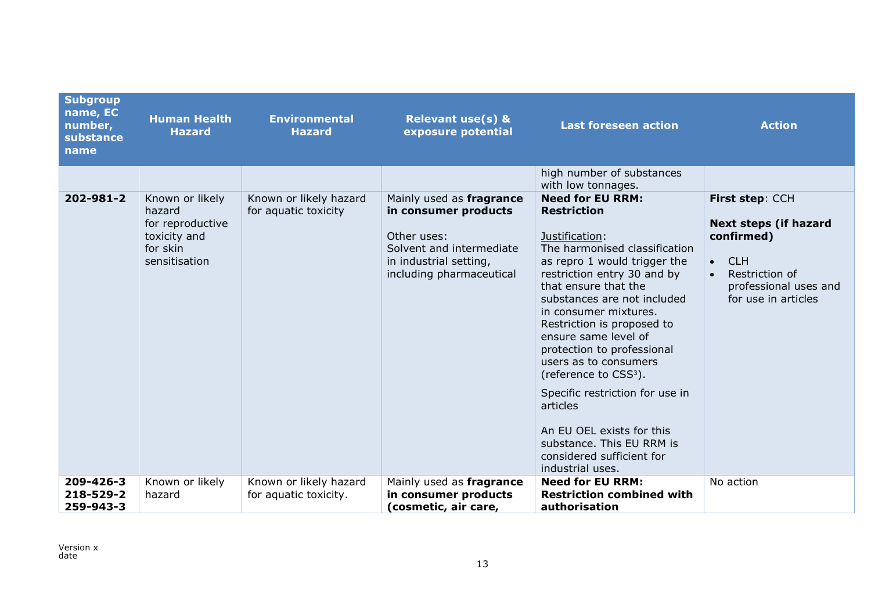| <b>Subgroup</b><br>name, EC<br>number,<br>substance<br>name | <b>Human Health</b><br><b>Hazard</b>                                                       | <b>Environmental</b><br><b>Hazard</b>           | <b>Relevant use(s) &amp;</b><br>exposure potential                                                                                                | <b>Last foreseen action</b>                                                                                                                                                                                                                                                                                                                                                                                                                                                                                                                                 | <b>Action</b>                                                                                                                                                           |
|-------------------------------------------------------------|--------------------------------------------------------------------------------------------|-------------------------------------------------|---------------------------------------------------------------------------------------------------------------------------------------------------|-------------------------------------------------------------------------------------------------------------------------------------------------------------------------------------------------------------------------------------------------------------------------------------------------------------------------------------------------------------------------------------------------------------------------------------------------------------------------------------------------------------------------------------------------------------|-------------------------------------------------------------------------------------------------------------------------------------------------------------------------|
|                                                             |                                                                                            |                                                 |                                                                                                                                                   | high number of substances<br>with low tonnages.                                                                                                                                                                                                                                                                                                                                                                                                                                                                                                             |                                                                                                                                                                         |
| 202-981-2                                                   | Known or likely<br>hazard<br>for reproductive<br>toxicity and<br>for skin<br>sensitisation | Known or likely hazard<br>for aquatic toxicity  | Mainly used as fragrance<br>in consumer products<br>Other uses:<br>Solvent and intermediate<br>in industrial setting,<br>including pharmaceutical | <b>Need for EU RRM:</b><br><b>Restriction</b><br>Justification:<br>The harmonised classification<br>as repro 1 would trigger the<br>restriction entry 30 and by<br>that ensure that the<br>substances are not included<br>in consumer mixtures.<br>Restriction is proposed to<br>ensure same level of<br>protection to professional<br>users as to consumers<br>(reference to CSS <sup>3</sup> ).<br>Specific restriction for use in<br>articles<br>An EU OEL exists for this<br>substance. This EU RRM is<br>considered sufficient for<br>industrial uses. | First step: CCH<br><b>Next steps (if hazard</b><br>confirmed)<br><b>CLH</b><br>$\bullet$<br>Restriction of<br>$\bullet$<br>professional uses and<br>for use in articles |
| 209-426-3<br>218-529-2<br>259-943-3                         | Known or likely<br>hazard                                                                  | Known or likely hazard<br>for aquatic toxicity. | Mainly used as fragrance<br>in consumer products<br>(cosmetic, air care,                                                                          | <b>Need for EU RRM:</b><br><b>Restriction combined with</b><br>authorisation                                                                                                                                                                                                                                                                                                                                                                                                                                                                                | No action                                                                                                                                                               |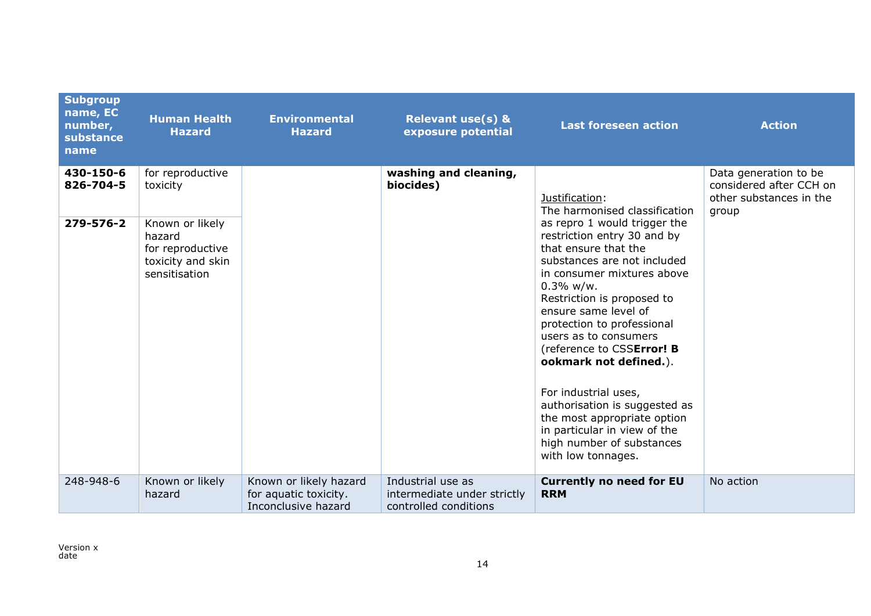| <b>Subgroup</b><br>name, EC<br>number,<br>substance<br>name | <b>Human Health</b><br><b>Hazard</b>                                                | <b>Environmental</b><br><b>Hazard</b>                                  | <b>Relevant use(s) &amp;</b><br>exposure potential                        | <b>Last foreseen action</b>                                                                                                                                                                                                                                                                                                                                                                                                                                                                                     | <b>Action</b>                                                                        |
|-------------------------------------------------------------|-------------------------------------------------------------------------------------|------------------------------------------------------------------------|---------------------------------------------------------------------------|-----------------------------------------------------------------------------------------------------------------------------------------------------------------------------------------------------------------------------------------------------------------------------------------------------------------------------------------------------------------------------------------------------------------------------------------------------------------------------------------------------------------|--------------------------------------------------------------------------------------|
| 430-150-6<br>826-704-5                                      | for reproductive<br>toxicity                                                        |                                                                        | washing and cleaning,<br>biocides)                                        | Justification:<br>The harmonised classification                                                                                                                                                                                                                                                                                                                                                                                                                                                                 | Data generation to be<br>considered after CCH on<br>other substances in the<br>group |
| 279-576-2                                                   | Known or likely<br>hazard<br>for reproductive<br>toxicity and skin<br>sensitisation |                                                                        |                                                                           | as repro 1 would trigger the<br>restriction entry 30 and by<br>that ensure that the<br>substances are not included<br>in consumer mixtures above<br>$0.3\%$ w/w.<br>Restriction is proposed to<br>ensure same level of<br>protection to professional<br>users as to consumers<br>(reference to CSSError! B<br>ookmark not defined.).<br>For industrial uses,<br>authorisation is suggested as<br>the most appropriate option<br>in particular in view of the<br>high number of substances<br>with low tonnages. |                                                                                      |
| 248-948-6                                                   | Known or likely<br>hazard                                                           | Known or likely hazard<br>for aquatic toxicity.<br>Inconclusive hazard | Industrial use as<br>intermediate under strictly<br>controlled conditions | <b>Currently no need for EU</b><br><b>RRM</b>                                                                                                                                                                                                                                                                                                                                                                                                                                                                   | No action                                                                            |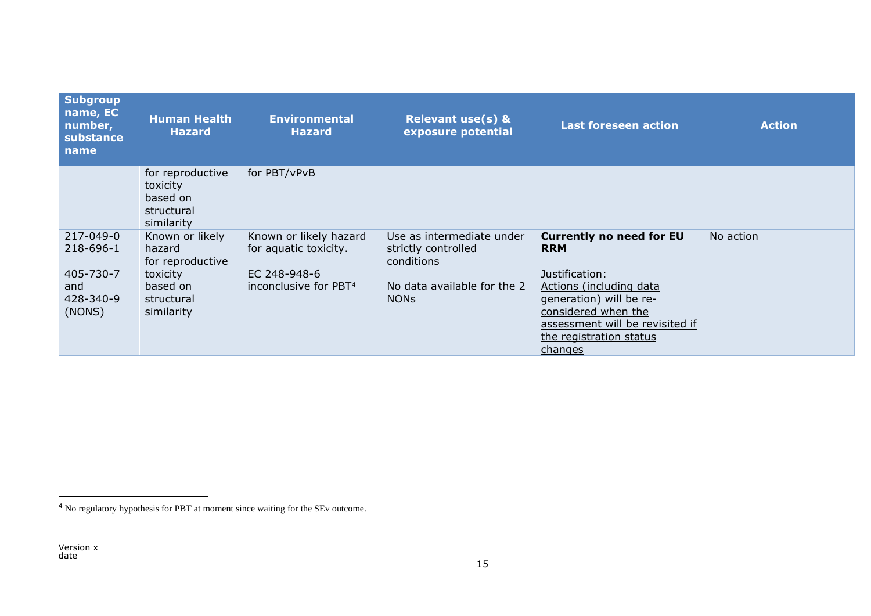| <b>Subgroup</b><br>name, EC<br>number,<br>substance<br>name       | <b>Human Health</b><br><b>Hazard</b>                                                              | <b>Environmental</b><br><b>Hazard</b>                                                                | <b>Relevant use(s) &amp;</b><br>exposure potential                                                           | <b>Last foreseen action</b>                                                                                                                                                                                           | <b>Action</b> |
|-------------------------------------------------------------------|---------------------------------------------------------------------------------------------------|------------------------------------------------------------------------------------------------------|--------------------------------------------------------------------------------------------------------------|-----------------------------------------------------------------------------------------------------------------------------------------------------------------------------------------------------------------------|---------------|
|                                                                   | for reproductive<br>toxicity<br>based on<br>structural<br>similarity                              | for PBT/vPvB                                                                                         |                                                                                                              |                                                                                                                                                                                                                       |               |
| 217-049-0<br>218-696-1<br>405-730-7<br>and<br>428-340-9<br>(NONS) | Known or likely<br>hazard<br>for reproductive<br>toxicity<br>based on<br>structural<br>similarity | Known or likely hazard<br>for aquatic toxicity.<br>EC 248-948-6<br>inconclusive for PBT <sup>4</sup> | Use as intermediate under<br>strictly controlled<br>conditions<br>No data available for the 2<br><b>NONs</b> | <b>Currently no need for EU</b><br><b>RRM</b><br>Justification:<br>Actions (including data<br>generation) will be re-<br>considered when the<br>assessment will be revisited if<br>the registration status<br>changes | No action     |

<sup>4</sup> No regulatory hypothesis for PBT at moment since waiting for the SEv outcome.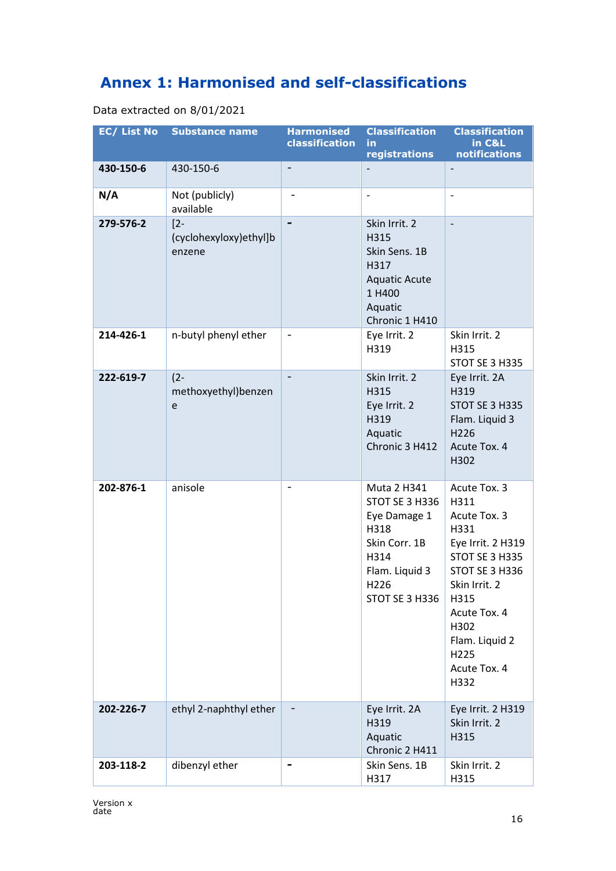# <span id="page-15-0"></span>**Annex 1: Harmonised and self-classifications**

|  | Data extracted on 8/01/2021 |  |
|--|-----------------------------|--|
|--|-----------------------------|--|

| <b>EC/ List No</b> | <b>Substance name</b>                      | <b>Harmonised</b><br>classification | <b>Classification</b><br>in<br>registrations                                                                               | <b>Classification</b><br>in C&L<br>notifications                                                                                                                                                         |
|--------------------|--------------------------------------------|-------------------------------------|----------------------------------------------------------------------------------------------------------------------------|----------------------------------------------------------------------------------------------------------------------------------------------------------------------------------------------------------|
| 430-150-6          | 430-150-6                                  |                                     |                                                                                                                            |                                                                                                                                                                                                          |
| N/A                | Not (publicly)<br>available                |                                     |                                                                                                                            |                                                                                                                                                                                                          |
| 279-576-2          | $[2 -$<br>(cyclohexyloxy)ethyl]b<br>enzene |                                     | Skin Irrit. 2<br>H315<br>Skin Sens. 1B<br>H317<br><b>Aquatic Acute</b><br>1 H400<br>Aquatic<br>Chronic 1 H410              |                                                                                                                                                                                                          |
| 214-426-1          | n-butyl phenyl ether                       | $\qquad \qquad \blacksquare$        | Eye Irrit. 2<br>H319                                                                                                       | Skin Irrit. 2<br>H315<br>STOT SE 3 H335                                                                                                                                                                  |
| 222-619-7          | $(2 -$<br>methoxyethyl)benzen<br>e         |                                     | Skin Irrit. 2<br>H315<br>Eye Irrit. 2<br>H319<br>Aquatic<br>Chronic 3 H412                                                 | Eye Irrit. 2A<br>H319<br>STOT SE 3 H335<br>Flam. Liquid 3<br>H226<br>Acute Tox. 4<br>H302                                                                                                                |
| 202-876-1          | anisole                                    |                                     | Muta 2 H341<br>STOT SE 3 H336<br>Eye Damage 1<br>H318<br>Skin Corr. 1B<br>H314<br>Flam. Liquid 3<br>H226<br>STOT SE 3 H336 | Acute Tox. 3<br>H311<br>Acute Tox. 3<br>H331<br>Eye Irrit. 2 H319<br>STOT SE 3 H335<br>STOT SE 3 H336<br>Skin Irrit. 2<br>H315<br>Acute Tox. 4<br>H302<br>Flam. Liquid 2<br>H225<br>Acute Tox. 4<br>H332 |
| 202-226-7          | ethyl 2-naphthyl ether                     |                                     | Eye Irrit. 2A<br>H319<br>Aquatic<br>Chronic 2 H411                                                                         | Eye Irrit. 2 H319<br>Skin Irrit. 2<br>H315                                                                                                                                                               |
| 203-118-2          | dibenzyl ether                             |                                     | Skin Sens. 1B<br>H317                                                                                                      | Skin Irrit. 2<br>H315                                                                                                                                                                                    |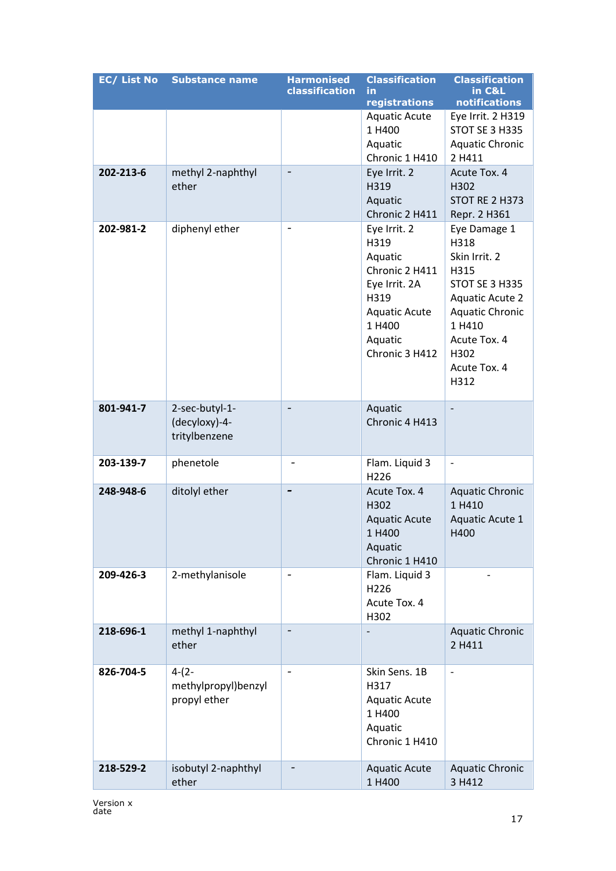| <b>EC/ List No</b> | <b>Substance name</b> | <b>Harmonised</b><br><b>classification</b> | <b>Classification</b><br>in | <b>Classification</b><br>in C&L |
|--------------------|-----------------------|--------------------------------------------|-----------------------------|---------------------------------|
|                    |                       |                                            | registrations               | notifications                   |
|                    |                       |                                            | <b>Aquatic Acute</b>        | Eye Irrit. 2 H319               |
|                    |                       |                                            | 1 H400                      | STOT SE 3 H335                  |
|                    |                       |                                            | Aquatic                     | <b>Aquatic Chronic</b>          |
|                    |                       |                                            | Chronic 1 H410              | 2 H411                          |
| 202-213-6          | methyl 2-naphthyl     |                                            | Eye Irrit. 2                | Acute Tox. 4                    |
|                    | ether                 |                                            | H319                        | H302                            |
|                    |                       |                                            | Aquatic                     | STOT RE 2 H373                  |
|                    |                       |                                            | Chronic 2 H411              | Repr. 2 H361                    |
| 202-981-2          | diphenyl ether        | $\overline{a}$                             | Eye Irrit. 2                | Eye Damage 1                    |
|                    |                       |                                            | H319                        | H318                            |
|                    |                       |                                            | Aquatic                     | Skin Irrit. 2                   |
|                    |                       |                                            | Chronic 2 H411              | H315                            |
|                    |                       |                                            | Eye Irrit. 2A               | STOT SE 3 H335                  |
|                    |                       |                                            | H319                        | <b>Aquatic Acute 2</b>          |
|                    |                       |                                            | <b>Aquatic Acute</b>        | <b>Aquatic Chronic</b>          |
|                    |                       |                                            | 1 H400                      | 1 H410                          |
|                    |                       |                                            | Aquatic                     | Acute Tox. 4                    |
|                    |                       |                                            | Chronic 3 H412              | H302                            |
|                    |                       |                                            |                             | Acute Tox. 4                    |
|                    |                       |                                            |                             | H312                            |
|                    |                       |                                            |                             |                                 |
| 801-941-7          | 2-sec-butyl-1-        |                                            | Aquatic                     |                                 |
|                    | (decyloxy)-4-         |                                            | Chronic 4 H413              |                                 |
|                    | tritylbenzene         |                                            |                             |                                 |
|                    |                       |                                            |                             |                                 |
| 203-139-7          | phenetole             |                                            | Flam. Liquid 3              | $\qquad \qquad \blacksquare$    |
|                    |                       |                                            | H226                        |                                 |
| 248-948-6          | ditolyl ether         |                                            | Acute Tox. 4                | <b>Aquatic Chronic</b>          |
|                    |                       |                                            | H302                        | 1 H410                          |
|                    |                       |                                            | <b>Aquatic Acute</b>        | Aquatic Acute 1                 |
|                    |                       |                                            | 1 H400                      | H400                            |
|                    |                       |                                            | Aquatic                     |                                 |
|                    |                       |                                            | Chronic 1 H410              |                                 |
| 209-426-3          | 2-methylanisole       |                                            | Flam. Liquid 3              |                                 |
|                    |                       |                                            | H226                        |                                 |
|                    |                       |                                            | Acute Tox. 4                |                                 |
|                    |                       |                                            | H302                        |                                 |
| 218-696-1          | methyl 1-naphthyl     |                                            |                             | <b>Aquatic Chronic</b>          |
|                    | ether                 |                                            |                             | 2 H411                          |
|                    |                       |                                            |                             |                                 |
| 826-704-5          | $4-(2-$               |                                            | Skin Sens. 1B               | $\overline{\phantom{0}}$        |
|                    | methylpropyl)benzyl   |                                            | H317                        |                                 |
|                    | propyl ether          |                                            | <b>Aquatic Acute</b>        |                                 |
|                    |                       |                                            | 1 H400                      |                                 |
|                    |                       |                                            | Aquatic                     |                                 |
|                    |                       |                                            | Chronic 1 H410              |                                 |
|                    |                       |                                            |                             |                                 |
| 218-529-2          | isobutyl 2-naphthyl   |                                            | <b>Aquatic Acute</b>        | <b>Aquatic Chronic</b>          |
|                    | ether                 |                                            | 1 H400                      | 3 H412                          |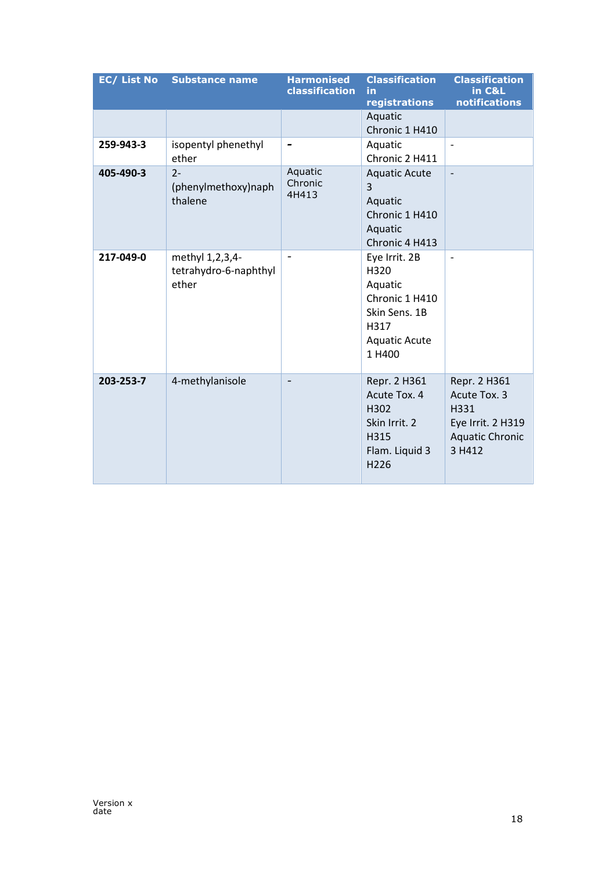|           | <b>EC/ List No Substance name</b>                 | <b>Harmonised</b><br><b>classification</b> | <b>Classification</b><br>in<br>registrations                                                                  | <b>Classification</b><br>in C&L<br>notifications                                              |
|-----------|---------------------------------------------------|--------------------------------------------|---------------------------------------------------------------------------------------------------------------|-----------------------------------------------------------------------------------------------|
|           |                                                   |                                            | Aquatic<br>Chronic 1 H410                                                                                     |                                                                                               |
| 259-943-3 | isopentyl phenethyl<br>ether                      |                                            | Aquatic<br>Chronic 2 H411                                                                                     | $\overline{\phantom{a}}$                                                                      |
| 405-490-3 | $2 -$<br>(phenylmethoxy)naph<br>thalene           | Aquatic<br>Chronic<br>4H413                | <b>Aquatic Acute</b><br>3<br>Aquatic<br>Chronic 1 H410<br>Aquatic<br>Chronic 4 H413                           | $\overline{\phantom{a}}$                                                                      |
| 217-049-0 | methyl 1,2,3,4-<br>tetrahydro-6-naphthyl<br>ether |                                            | Eye Irrit. 2B<br>H320<br>Aquatic<br>Chronic 1 H410<br>Skin Sens, 1B<br>H317<br><b>Aquatic Acute</b><br>1 H400 |                                                                                               |
| 203-253-7 | 4-methylanisole                                   | $\overline{\phantom{0}}$                   | Repr. 2 H361<br>Acute Tox. 4<br>H302<br>Skin Irrit. 2<br>H315<br>Flam. Liquid 3<br>H226                       | Repr. 2 H361<br>Acute Tox. 3<br>H331<br>Eye Irrit. 2 H319<br><b>Aquatic Chronic</b><br>3 H412 |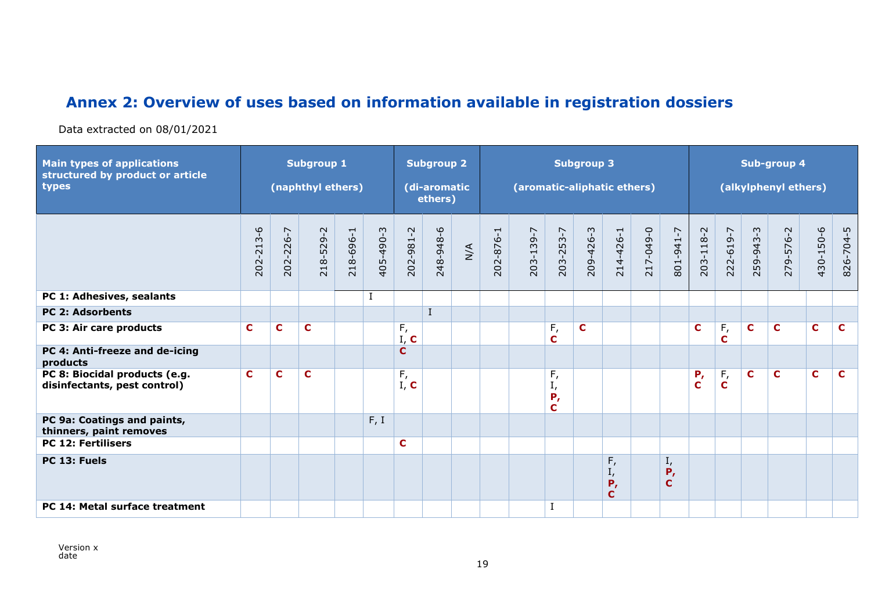## **Annex 2: Overview of uses based on information available in registration dossiers**

Data extracted on 08/01/2021

<span id="page-18-0"></span>

| <b>Main types of applications</b><br>structured by product or article<br>types | <b>Subgroup 1</b><br>(naphthyl ethers) |                    |             |                                                       |           | <b>Subgroup 2</b><br>(di-aromatic<br>ethers) |           |     | <b>Subgroup 3</b><br>(aromatic-aliphatic ethers) |           |                          |           |                           |           | Sub-group 4<br>(alkylphenyl ethers) |                   |                   |                    |                            |           |             |
|--------------------------------------------------------------------------------|----------------------------------------|--------------------|-------------|-------------------------------------------------------|-----------|----------------------------------------------|-----------|-----|--------------------------------------------------|-----------|--------------------------|-----------|---------------------------|-----------|-------------------------------------|-------------------|-------------------|--------------------|----------------------------|-----------|-------------|
|                                                                                | $3 - 6$<br>202-21                      | $\sim$<br>202-226- | 218-529-2   | $\overline{\phantom{0}}$<br>$18 - 696 - 31$<br>$\sim$ | 405-490-3 | 202-981-2                                    | 248-948-6 | N/A | $\overline{\phantom{0}}$<br>202-876-             | 203-139-7 | 203-253-7                | 209-426-3 | $14 - 426 - 1$<br>$\sim$  | 217-049-0 | 801-941-7                           | 203-118-2         | 222-619-7         | 59-943-3<br>$\sim$ | 79-576-2<br>$\overline{N}$ | 430-150-6 | 826-704-5   |
| PC 1: Adhesives, sealants                                                      |                                        |                    |             |                                                       | <b>I</b>  |                                              |           |     |                                                  |           |                          |           |                           |           |                                     |                   |                   |                    |                            |           |             |
| <b>PC 2: Adsorbents</b>                                                        |                                        |                    |             |                                                       |           |                                              | $\bf{I}$  |     |                                                  |           |                          |           |                           |           |                                     |                   |                   |                    |                            |           |             |
| PC 3: Air care products                                                        | C                                      | C                  | C           |                                                       |           | F,<br>I, C                                   |           |     |                                                  |           | F,<br>C                  | C         |                           |           |                                     | C                 | F,<br>C           | C                  | C                          | C         | $\mathbf C$ |
| PC 4: Anti-freeze and de-icing<br>products                                     |                                        |                    |             |                                                       |           | <b>C</b>                                     |           |     |                                                  |           |                          |           |                           |           |                                     |                   |                   |                    |                            |           |             |
| PC 8: Biocidal products (e.g.<br>disinfectants, pest control)                  | C                                      | $\mathbf C$        | $\mathbf C$ |                                                       |           | F,<br>I, C                                   |           |     |                                                  |           | F,<br>ı,<br>$P_{I}$<br>C |           |                           |           |                                     | P,<br>$\mathbf C$ | F,<br>$\mathbf C$ | $\mathbf{C}$       | C                          | C         | $\mathbf c$ |
| PC 9a: Coatings and paints,<br>thinners, paint removes                         |                                        |                    |             |                                                       | F, I      |                                              |           |     |                                                  |           |                          |           |                           |           |                                     |                   |                   |                    |                            |           |             |
| <b>PC 12: Fertilisers</b>                                                      |                                        |                    |             |                                                       |           | C                                            |           |     |                                                  |           |                          |           |                           |           |                                     |                   |                   |                    |                            |           |             |
| PC 13: Fuels                                                                   |                                        |                    |             |                                                       |           |                                              |           |     |                                                  |           |                          |           | F,<br>I,<br>$P_{I}$<br>C. |           | I,<br>P,<br>$\mathbf C$             |                   |                   |                    |                            |           |             |
| PC 14: Metal surface treatment                                                 |                                        |                    |             |                                                       |           |                                              |           |     |                                                  |           |                          |           |                           |           |                                     |                   |                   |                    |                            |           |             |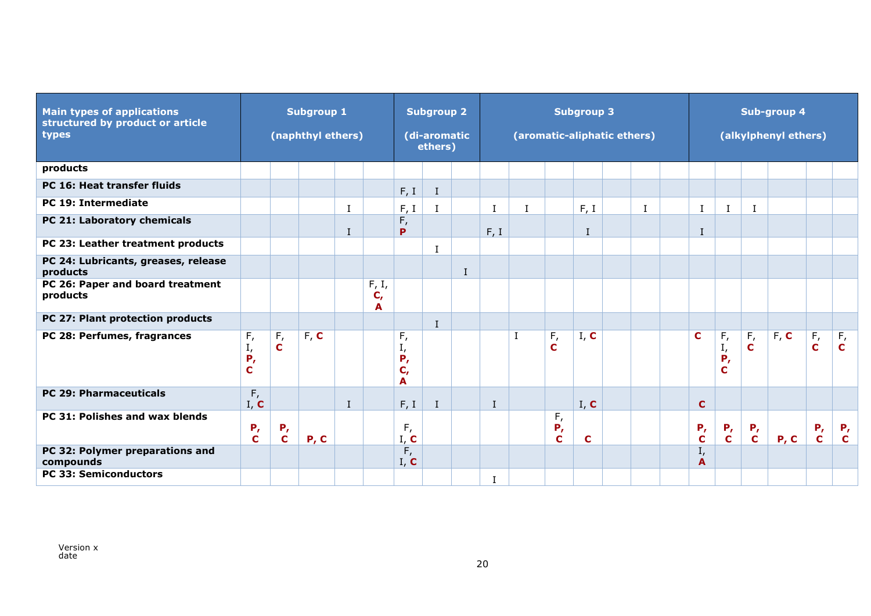| <b>Main types of applications</b><br>structured by product or article<br>types | <b>Subgroup 1</b><br>(naphthyl ethers) |                        |      |             | <b>Subgroup 2</b><br>(di-aromatic<br>ethers) |                                              |             | <b>Subgroup 3</b><br>(aromatic-aliphatic ethers) |              |              |               |          |  | Sub-group 4<br>(alkylphenyl ethers) |  |                        |                          |                                    |      |              |                         |
|--------------------------------------------------------------------------------|----------------------------------------|------------------------|------|-------------|----------------------------------------------|----------------------------------------------|-------------|--------------------------------------------------|--------------|--------------|---------------|----------|--|-------------------------------------|--|------------------------|--------------------------|------------------------------------|------|--------------|-------------------------|
| products                                                                       |                                        |                        |      |             |                                              |                                              |             |                                                  |              |              |               |          |  |                                     |  |                        |                          |                                    |      |              |                         |
| PC 16: Heat transfer fluids                                                    |                                        |                        |      |             |                                              | F, I                                         | $\mathbf I$ |                                                  |              |              |               |          |  |                                     |  |                        |                          |                                    |      |              |                         |
| <b>PC 19: Intermediate</b>                                                     |                                        |                        |      | $\mathbf I$ |                                              | F, I                                         | Ι.          |                                                  | $\bf{I}$     | $\mathbf{I}$ |               | F, I     |  | $\mathbf I$                         |  | I                      | $\mathbf I$              | $\mathbf I$                        |      |              |                         |
| PC 21: Laboratory chemicals                                                    |                                        |                        |      | $\bf I$     |                                              | F,<br>P                                      |             |                                                  | F, I         |              |               | $\bf{I}$ |  |                                     |  | $\bf I$                |                          |                                    |      |              |                         |
| PC 23: Leather treatment products                                              |                                        |                        |      |             |                                              |                                              | $\bf{I}$    |                                                  |              |              |               |          |  |                                     |  |                        |                          |                                    |      |              |                         |
| PC 24: Lubricants, greases, release<br>products                                |                                        |                        |      |             |                                              |                                              |             | $\mathbf{I}$                                     |              |              |               |          |  |                                     |  |                        |                          |                                    |      |              |                         |
| PC 26: Paper and board treatment<br>products                                   |                                        |                        |      |             | F, I,<br>$C_{r}$<br>A                        |                                              |             |                                                  |              |              |               |          |  |                                     |  |                        |                          |                                    |      |              |                         |
| PC 27: Plant protection products                                               |                                        |                        |      |             |                                              |                                              | $\bf I$     |                                                  |              |              |               |          |  |                                     |  |                        |                          |                                    |      |              |                         |
| PC 28: Perfumes, fragrances                                                    | F,<br>I,<br>$P_{I}$<br>C.              | F,<br>$\mathbf C$      | F, C |             |                                              | F,<br>I,<br>$P_{I}$<br>$\mathbf{C}_{I}$<br>A |             |                                                  |              | $\mathbf I$  | F,<br>C       | I, C     |  |                                     |  | C                      | F,<br>I,<br>$P_{I}$<br>C | F,<br>$\mathbf C$                  | F, C | F,<br>C      | $F_{I}$<br>$\mathbf{C}$ |
| <b>PC 29: Pharmaceuticals</b>                                                  | F,<br>I, C                             |                        |      | $\bf{I}$    |                                              | F, I                                         | $\bf{I}$    |                                                  | $\mathbf{I}$ |              |               | I, C     |  |                                     |  | C                      |                          |                                    |      |              |                         |
| PC 31: Polishes and wax blends                                                 | $P_{I}$<br>$\mathbf{C}$                | $P_{I}$<br>$\mathbf C$ | P, C |             |                                              | F,<br>I, C                                   |             |                                                  |              |              | F,<br>P,<br>C | C        |  |                                     |  | $P_{I}$<br>$\mathbf C$ | $P_{\prime}$             | $P_{I}$<br>$\overline{\mathbf{c}}$ | P, C | $P_{\prime}$ | $P_{\prime}$            |
| PC 32: Polymer preparations and<br>compounds                                   |                                        |                        |      |             |                                              | F,<br>I, C                                   |             |                                                  |              |              |               |          |  |                                     |  | I,<br>$\overline{A}$   |                          |                                    |      |              |                         |
| <b>PC 33: Semiconductors</b>                                                   |                                        |                        |      |             |                                              |                                              |             |                                                  | Ι.           |              |               |          |  |                                     |  |                        |                          |                                    |      |              |                         |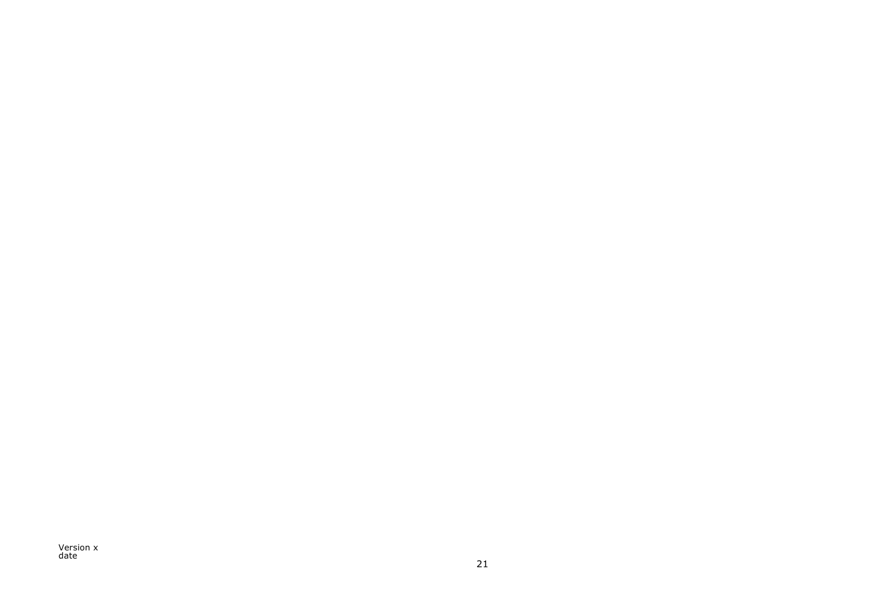Version x date